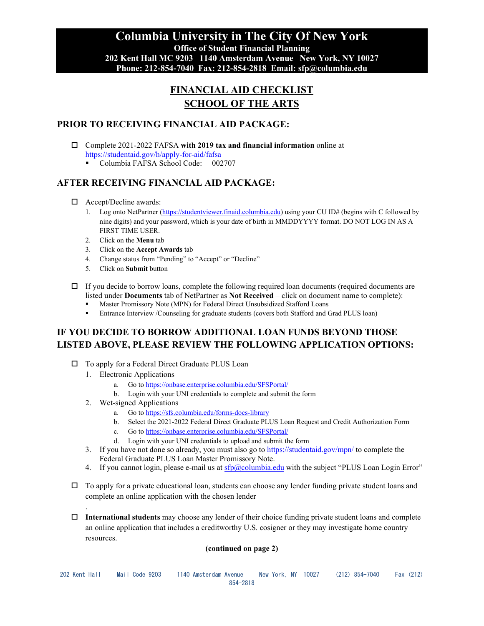### **Columbia University in The City Of New York Office of Student Financial Planning 202 Kent Hall MC 9203 1140 Amsterdam Avenue New York, NY 10027 Phone: 212-854-7040 Fax: 212-854-2818 Email: sfp@columbia.edu**

# **FINANCIAL AID CHECKLIST SCHOOL OF THE ARTS**

## **PRIOR TO RECEIVING FINANCIAL AID PACKAGE:**

- Complete 2021-2022 FAFSA **with 2019 tax and financial information** online at <https://studentaid.gov/h/apply-for-aid/fafsa>
	- Columbia FAFSA School Code: 002707

## **AFTER RECEIVING FINANCIAL AID PACKAGE:**

- □ Accept/Decline awards:
	- 1. Log onto NetPartner [\(https://studentviewer.finaid.columbia.edu\)](https://studentviewer.finaid.columbia.edu/) using your CU ID# (begins with C followed by nine digits) and your password, which is your date of birth in MMDDYYYY format. DO NOT LOG IN AS A FIRST TIME USER.
	- 2. Click on the **Menu** tab
	- 3. Click on the **Accept Awards** tab
	- 4. Change status from "Pending" to "Accept" or "Decline"
	- 5. Click on **Submit** button
- $\Box$  If you decide to borrow loans, complete the following required loan documents (required documents are listed under **Documents** tab of NetPartner as **Not Received** – click on document name to complete):
	- Master Promissory Note (MPN) for Federal Direct Unsubsidized Stafford Loans
	- Entrance Interview /Counseling for graduate students (covers both Stafford and Grad PLUS loan)

## **IF YOU DECIDE TO BORROW ADDITIONAL LOAN FUNDS BEYOND THOSE LISTED ABOVE, PLEASE REVIEW THE FOLLOWING APPLICATION OPTIONS:**

- □ To apply for a Federal Direct Graduate PLUS Loan
	- 1. Electronic Applications
		- a. Go t[o https://onbase.enterprise.columbia.edu/SFSPortal/](https://onbase.enterprise.columbia.edu/SFSPortal/)
		- b. Login with your UNI credentials to complete and submit the form
	- 2. Wet-signed Applications

.

- a. Go t[o https://sfs.columbia.edu/forms-docs-library](https://sfs.columbia.edu/forms-docs-library)
- b. Select the 2021-2022 Federal Direct Graduate PLUS Loan Request and Credit Authorization Form
- c. Go t[o https://onbase.enterprise.columbia.edu/SFSPortal/](https://onbase.enterprise.columbia.edu/SFSPortal/)
- d. Login with your UNI credentials to upload and submit the form
- 3. If you have not done so already, you must also go to<https://studentaid.gov/mpn/> to complete the Federal Graduate PLUS Loan Master Promissory Note.
- 4. If you cannot login, please e-mail us at  $\frac{\text{sfp}(Q \text{column} \text{b} \text{a} \text{b} \text{d} \text{d} \text{b})}{\text{d} \text{q} \text{b}}$  with the subject "PLUS Loan Login Error"
- $\Box$  To apply for a private educational loan, students can choose any lender funding private student loans and complete an online application with the chosen lender
- **International students** may choose any lender of their choice funding private student loans and complete an online application that includes a creditworthy U.S. cosigner or they may investigate home country resources.

#### **(continued on page 2)**